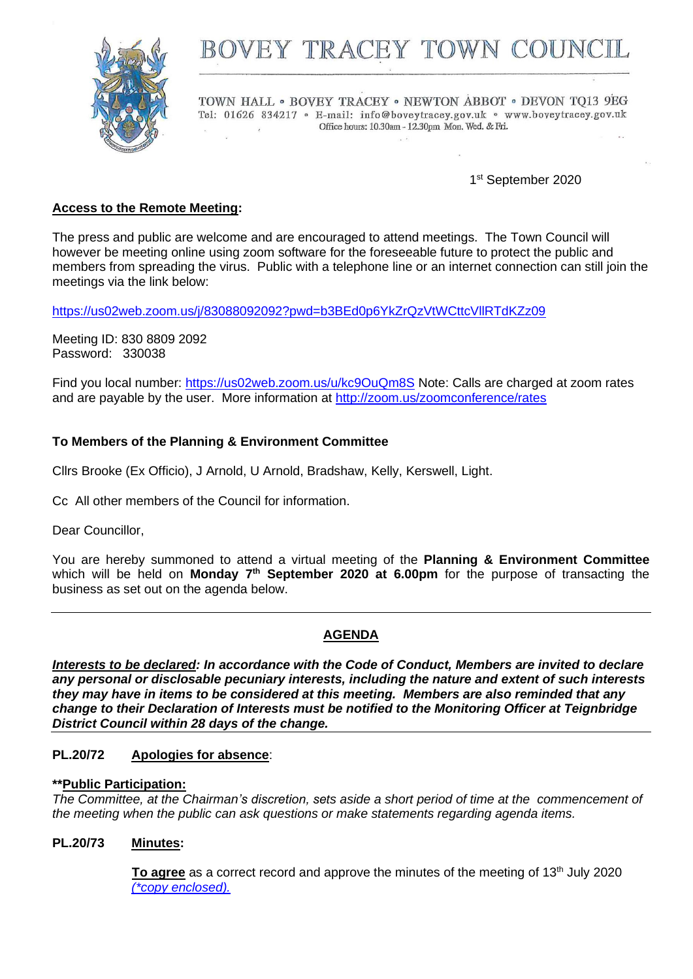

# BOVEY TRACEY TOWN COUN

TOWN HALL . BOVEY TRACEY . NEWTON ABBOT . DEVON TO13 9EG Tel: 01626 834217 · E-mail: info@boveytracey.gov.uk · www.boveytracey.gov.uk Office hours: 10.30am - 12.30pm Mon. Wed. & Fri.

1st September 2020

# **Access to the Remote Meeting:**

The press and public are welcome and are encouraged to attend meetings. The Town Council will however be meeting online using zoom software for the foreseeable future to protect the public and members from spreading the virus. Public with a telephone line or an internet connection can still join the meetings via the link below:

<https://us02web.zoom.us/j/83088092092?pwd=b3BEd0p6YkZrQzVtWCttcVllRTdKZz09>

Meeting ID: 830 8809 2092 Password: 330038

Find you local number:<https://us02web.zoom.us/u/kc9OuQm8S> Note: Calls are charged at zoom rates and are payable by the user. More information at<http://zoom.us/zoomconference/rates>

## **To Members of the Planning & Environment Committee**

Cllrs Brooke (Ex Officio), J Arnold, U Arnold, Bradshaw, Kelly, Kerswell, Light.

Cc All other members of the Council for information.

Dear Councillor,

You are hereby summoned to attend a virtual meeting of the **Planning & Environment Committee** which will be held on Monday 7<sup>th</sup> September 2020 at 6.00pm for the purpose of transacting the business as set out on the agenda below.

## **AGENDA**

*Interests to be declared: In accordance with the Code of Conduct, Members are invited to declare any personal or disclosable pecuniary interests, including the nature and extent of such interests they may have in items to be considered at this meeting. Members are also reminded that any change to their Declaration of Interests must be notified to the Monitoring Officer at Teignbridge District Council within 28 days of the change.*

## **PL.20/72 Apologies for absence**:

## **\*\*Public Participation:**

*The Committee, at the Chairman's discretion, sets aside a short period of time at the commencement of the meeting when the public can ask questions or make statements regarding agenda items.*

## **PL.20/73 Minutes:**

**To agree** as a correct record and approve the minutes of the meeting of 13<sup>th</sup> July 2020 *(\*copy [enclosed\).](https://www.dropbox.com/s/v295l4f5kqf6mod/Plan%20Comm%20mtg%20Minutes%2013.7.20.doc?dl=0)*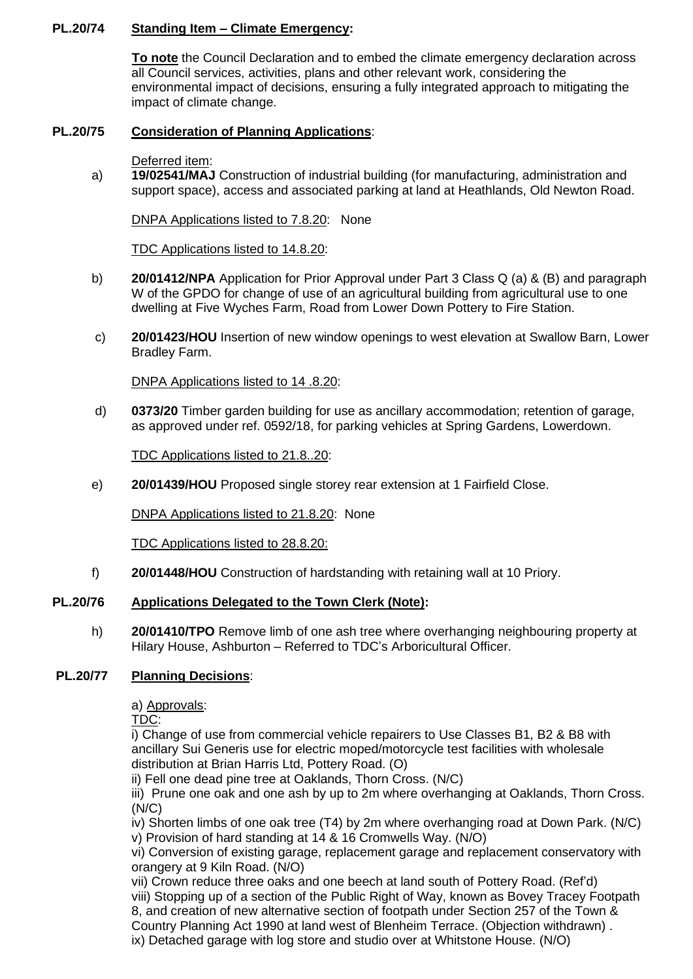## **PL.20/74 Standing Item – Climate Emergency:**

**To note** the Council Declaration and to embed the climate emergency declaration across all Council services, activities, plans and other relevant work, considering the environmental impact of decisions, ensuring a fully integrated approach to mitigating the impact of climate change.

# **PL.20/75 Consideration of Planning Applications**:

#### Deferred item:

a) **19/02541/MAJ** Construction of industrial building (for manufacturing, administration and support space), access and associated parking at land at Heathlands, Old Newton Road.

DNPA Applications listed to 7.8.20: None

TDC Applications listed to 14.8.20:

- b) **20/01412/NPA** Application for Prior Approval under Part 3 Class Q (a) & (B) and paragraph W of the GPDO for change of use of an agricultural building from agricultural use to one dwelling at Five Wyches Farm, Road from Lower Down Pottery to Fire Station.
- c) **20/01423/HOU** Insertion of new window openings to west elevation at Swallow Barn, Lower Bradley Farm.

DNPA Applications listed to 14 .8.20:

d) **0373/20** Timber garden building for use as ancillary accommodation; retention of garage, as approved under ref. 0592/18, for parking vehicles at Spring Gardens, Lowerdown.

TDC Applications listed to 21.8..20:

e) **20/01439/HOU** Proposed single storey rear extension at 1 Fairfield Close.

DNPA Applications listed to 21.8.20: None

TDC Applications listed to 28.8.20:

f) **20/01448/HOU** Construction of hardstanding with retaining wall at 10 Priory.

## **PL.20/76 Applications Delegated to the Town Clerk (Note):**

h) **20/01410/TPO** Remove limb of one ash tree where overhanging neighbouring property at Hilary House, Ashburton – Referred to TDC's Arboricultural Officer.

# **PL.20/77 Planning Decisions**:

a) Approvals:

TDC:

i) Change of use from commercial vehicle repairers to Use Classes B1, B2 & B8 with ancillary Sui Generis use for electric moped/motorcycle test facilities with wholesale distribution at Brian Harris Ltd, Pottery Road. (O)

ii) Fell one dead pine tree at Oaklands, Thorn Cross. (N/C)

iii) Prune one oak and one ash by up to 2m where overhanging at Oaklands, Thorn Cross. (N/C)

iv) Shorten limbs of one oak tree (T4) by 2m where overhanging road at Down Park. (N/C) v) Provision of hard standing at 14 & 16 Cromwells Way. (N/O)

vi) Conversion of existing garage, replacement garage and replacement conservatory with orangery at 9 Kiln Road. (N/O)

vii) Crown reduce three oaks and one beech at land south of Pottery Road. (Ref'd) viii) Stopping up of a section of the Public Right of Way, known as Bovey Tracey Footpath 8, and creation of new alternative section of footpath under Section 257 of the Town & Country Planning Act 1990 at land west of Blenheim Terrace. (Objection withdrawn) . ix) Detached garage with log store and studio over at Whitstone House. (N/O)